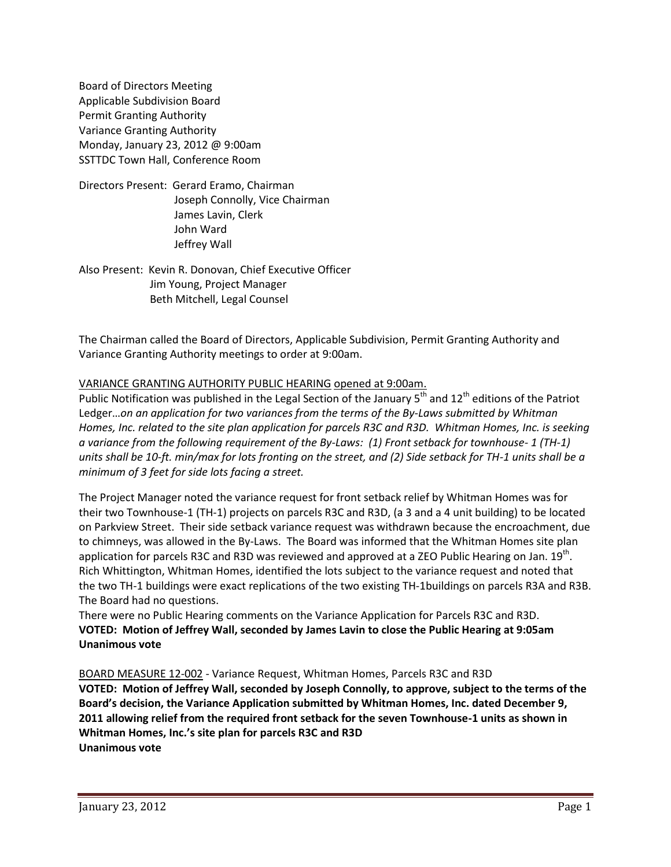Board of Directors Meeting Applicable Subdivision Board Permit Granting Authority Variance Granting Authority Monday, January 23, 2012 @ 9:00am SSTTDC Town Hall, Conference Room

Directors Present: Gerard Eramo, Chairman Joseph Connolly, Vice Chairman James Lavin, Clerk John Ward Jeffrey Wall

Also Present: Kevin R. Donovan, Chief Executive Officer Jim Young, Project Manager Beth Mitchell, Legal Counsel

The Chairman called the Board of Directors, Applicable Subdivision, Permit Granting Authority and Variance Granting Authority meetings to order at 9:00am.

# VARIANCE GRANTING AUTHORITY PUBLIC HEARING opened at 9:00am.

Public Notification was published in the Legal Section of the January  $5<sup>th</sup>$  and  $12<sup>th</sup>$  editions of the Patriot Ledger…*on an application for two variances from the terms of the By-Laws submitted by Whitman Homes, Inc. related to the site plan application for parcels R3C and R3D. Whitman Homes, Inc. is seeking a variance from the following requirement of the By-Laws: (1) Front setback for townhouse- 1 (TH-1) units shall be 10-ft. min/max for lots fronting on the street, and (2) Side setback for TH-1 units shall be a minimum of 3 feet for side lots facing a street.*

The Project Manager noted the variance request for front setback relief by Whitman Homes was for their two Townhouse-1 (TH-1) projects on parcels R3C and R3D, (a 3 and a 4 unit building) to be located on Parkview Street. Their side setback variance request was withdrawn because the encroachment, due to chimneys, was allowed in the By-Laws. The Board was informed that the Whitman Homes site plan application for parcels R3C and R3D was reviewed and approved at a ZEO Public Hearing on Jan.  $19^{\text{th}}$ . Rich Whittington, Whitman Homes, identified the lots subject to the variance request and noted that the two TH-1 buildings were exact replications of the two existing TH-1buildings on parcels R3A and R3B. The Board had no questions.

There were no Public Hearing comments on the Variance Application for Parcels R3C and R3D. **VOTED: Motion of Jeffrey Wall, seconded by James Lavin to close the Public Hearing at 9:05am Unanimous vote**

# BOARD MEASURE 12-002 - Variance Request, Whitman Homes, Parcels R3C and R3D

**VOTED: Motion of Jeffrey Wall, seconded by Joseph Connolly, to approve, subject to the terms of the Board's decision, the Variance Application submitted by Whitman Homes, Inc. dated December 9, 2011 allowing relief from the required front setback for the seven Townhouse-1 units as shown in Whitman Homes, Inc.'s site plan for parcels R3C and R3D Unanimous vote**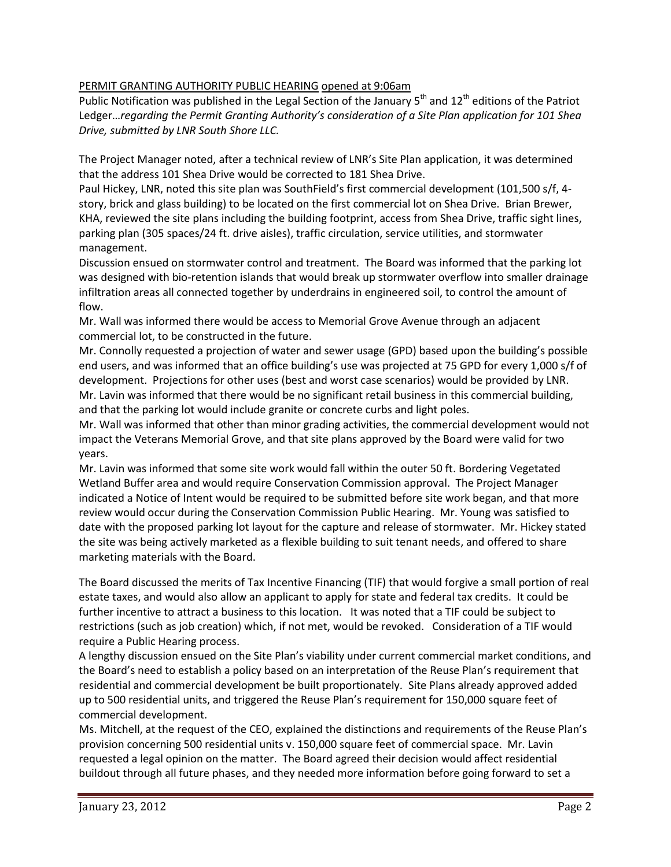## PERMIT GRANTING AUTHORITY PUBLIC HEARING opened at 9:06am

Public Notification was published in the Legal Section of the January  $5^{th}$  and  $12^{th}$  editions of the Patriot Ledger…*regarding the Permit Granting Authority's consideration of a Site Plan application for 101 Shea Drive, submitted by LNR South Shore LLC.*

The Project Manager noted, after a technical review of LNR's Site Plan application, it was determined that the address 101 Shea Drive would be corrected to 181 Shea Drive.

Paul Hickey, LNR, noted this site plan was SouthField's first commercial development (101,500 s/f, 4 story, brick and glass building) to be located on the first commercial lot on Shea Drive. Brian Brewer, KHA, reviewed the site plans including the building footprint, access from Shea Drive, traffic sight lines, parking plan (305 spaces/24 ft. drive aisles), traffic circulation, service utilities, and stormwater management.

Discussion ensued on stormwater control and treatment. The Board was informed that the parking lot was designed with bio-retention islands that would break up stormwater overflow into smaller drainage infiltration areas all connected together by underdrains in engineered soil, to control the amount of flow.

Mr. Wall was informed there would be access to Memorial Grove Avenue through an adjacent commercial lot, to be constructed in the future.

Mr. Connolly requested a projection of water and sewer usage (GPD) based upon the building's possible end users, and was informed that an office building's use was projected at 75 GPD for every 1,000 s/f of development. Projections for other uses (best and worst case scenarios) would be provided by LNR. Mr. Lavin was informed that there would be no significant retail business in this commercial building, and that the parking lot would include granite or concrete curbs and light poles.

Mr. Wall was informed that other than minor grading activities, the commercial development would not impact the Veterans Memorial Grove, and that site plans approved by the Board were valid for two years.

Mr. Lavin was informed that some site work would fall within the outer 50 ft. Bordering Vegetated Wetland Buffer area and would require Conservation Commission approval. The Project Manager indicated a Notice of Intent would be required to be submitted before site work began, and that more review would occur during the Conservation Commission Public Hearing. Mr. Young was satisfied to date with the proposed parking lot layout for the capture and release of stormwater. Mr. Hickey stated the site was being actively marketed as a flexible building to suit tenant needs, and offered to share marketing materials with the Board.

The Board discussed the merits of Tax Incentive Financing (TIF) that would forgive a small portion of real estate taxes, and would also allow an applicant to apply for state and federal tax credits. It could be further incentive to attract a business to this location. It was noted that a TIF could be subject to restrictions (such as job creation) which, if not met, would be revoked. Consideration of a TIF would require a Public Hearing process.

A lengthy discussion ensued on the Site Plan's viability under current commercial market conditions, and the Board's need to establish a policy based on an interpretation of the Reuse Plan's requirement that residential and commercial development be built proportionately. Site Plans already approved added up to 500 residential units, and triggered the Reuse Plan's requirement for 150,000 square feet of commercial development.

Ms. Mitchell, at the request of the CEO, explained the distinctions and requirements of the Reuse Plan's provision concerning 500 residential units v. 150,000 square feet of commercial space. Mr. Lavin requested a legal opinion on the matter. The Board agreed their decision would affect residential buildout through all future phases, and they needed more information before going forward to set a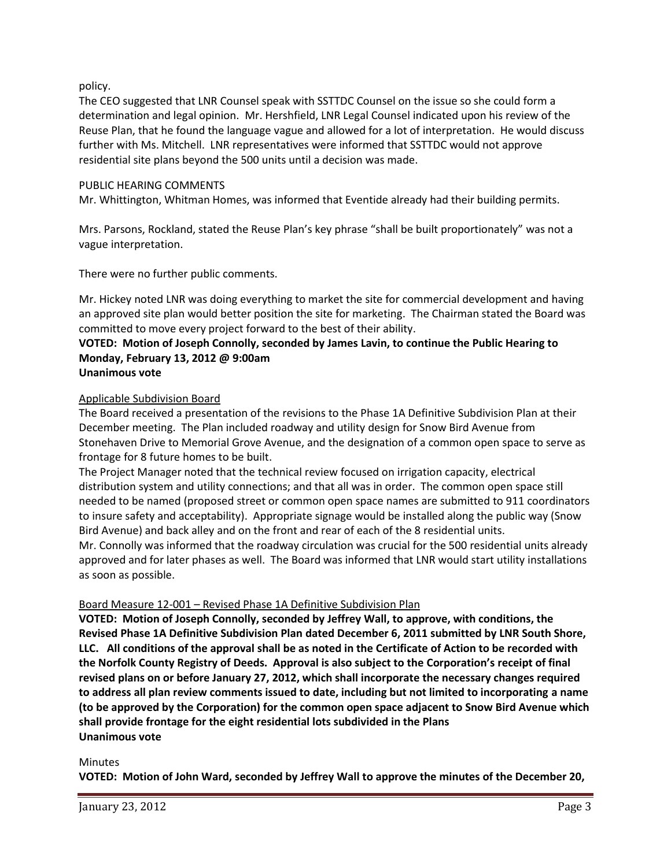policy.

The CEO suggested that LNR Counsel speak with SSTTDC Counsel on the issue so she could form a determination and legal opinion. Mr. Hershfield, LNR Legal Counsel indicated upon his review of the Reuse Plan, that he found the language vague and allowed for a lot of interpretation. He would discuss further with Ms. Mitchell. LNR representatives were informed that SSTTDC would not approve residential site plans beyond the 500 units until a decision was made.

#### PUBLIC HEARING COMMENTS

Mr. Whittington, Whitman Homes, was informed that Eventide already had their building permits.

Mrs. Parsons, Rockland, stated the Reuse Plan's key phrase "shall be built proportionately" was not a vague interpretation.

There were no further public comments.

Mr. Hickey noted LNR was doing everything to market the site for commercial development and having an approved site plan would better position the site for marketing. The Chairman stated the Board was committed to move every project forward to the best of their ability.

# **VOTED: Motion of Joseph Connolly, seconded by James Lavin, to continue the Public Hearing to Monday, February 13, 2012 @ 9:00am**

# **Unanimous vote**

#### Applicable Subdivision Board

The Board received a presentation of the revisions to the Phase 1A Definitive Subdivision Plan at their December meeting. The Plan included roadway and utility design for Snow Bird Avenue from Stonehaven Drive to Memorial Grove Avenue, and the designation of a common open space to serve as frontage for 8 future homes to be built.

The Project Manager noted that the technical review focused on irrigation capacity, electrical distribution system and utility connections; and that all was in order. The common open space still needed to be named (proposed street or common open space names are submitted to 911 coordinators to insure safety and acceptability). Appropriate signage would be installed along the public way (Snow Bird Avenue) and back alley and on the front and rear of each of the 8 residential units.

Mr. Connolly was informed that the roadway circulation was crucial for the 500 residential units already approved and for later phases as well. The Board was informed that LNR would start utility installations as soon as possible.

# Board Measure 12-001 – Revised Phase 1A Definitive Subdivision Plan

**VOTED: Motion of Joseph Connolly, seconded by Jeffrey Wall, to approve, with conditions, the Revised Phase 1A Definitive Subdivision Plan dated December 6, 2011 submitted by LNR South Shore, LLC. All conditions of the approval shall be as noted in the Certificate of Action to be recorded with the Norfolk County Registry of Deeds. Approval is also subject to the Corporation's receipt of final revised plans on or before January 27, 2012, which shall incorporate the necessary changes required to address all plan review comments issued to date, including but not limited to incorporating a name (to be approved by the Corporation) for the common open space adjacent to Snow Bird Avenue which shall provide frontage for the eight residential lots subdivided in the Plans Unanimous vote**

#### **Minutes**

**VOTED: Motion of John Ward, seconded by Jeffrey Wall to approve the minutes of the December 20,**